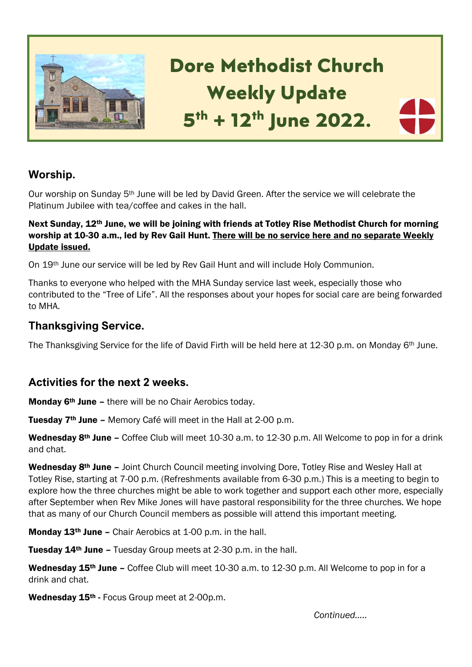

# **Worship.**

Our worship on Sunday 5<sup>th</sup> June will be led by David Green. After the service we will celebrate the Platinum Jubilee with tea/coffee and cakes in the hall.

#### Next Sunday, 12th June, we will be joining with friends at Totley Rise Methodist Church for morning worship at 10-30 a.m., led by Rev Gail Hunt. There will be no service here and no separate Weekly Update issued.

On 19th June our service will be led by Rev Gail Hunt and will include Holy Communion.

Thanks to everyone who helped with the MHA Sunday service last week, especially those who contributed to the "Tree of Life". All the responses about your hopes for social care are being forwarded to MHA.

# **Thanksgiving Service.**

The Thanksgiving Service for the life of David Firth will be held here at 12-30 p.m. on Monday 6<sup>th</sup> June.

# **Activities for the next 2 weeks.**

Monday 6th June – there will be no Chair Aerobics today.

Tuesday 7<sup>th</sup> June - Memory Café will meet in the Hall at 2-00 p.m.

Wednesday 8<sup>th</sup> June – Coffee Club will meet 10-30 a.m. to 12-30 p.m. All Welcome to pop in for a drink and chat.

Wednesday 8<sup>th</sup> June - Joint Church Council meeting involving Dore, Totley Rise and Wesley Hall at Totley Rise, starting at 7-00 p.m. (Refreshments available from 6-30 p.m.) This is a meeting to begin to explore how the three churches might be able to work together and support each other more, especially after September when Rev Mike Jones will have pastoral responsibility for the three churches. We hope that as many of our Church Council members as possible will attend this important meeting.

Monday 13<sup>th</sup> June - Chair Aerobics at 1-00 p.m. in the hall.

Tuesday 14th June – Tuesday Group meets at 2-30 p.m. in the hall.

Wednesday 15<sup>th</sup> June – Coffee Club will meet 10-30 a.m. to 12-30 p.m. All Welcome to pop in for a drink and chat.

Wednesday 15th - Focus Group meet at 2-00p.m.

*Continued…..*